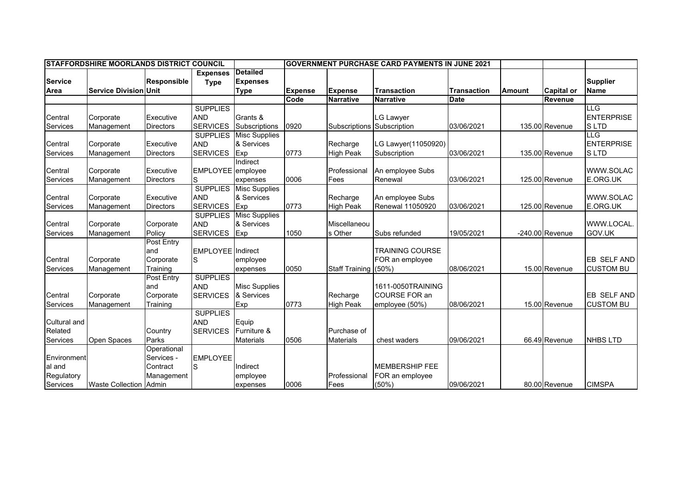| <b>ISTAFFORDSHIRE MOORLANDS DISTRICT COUNCIL</b>       |                               |                                                     |                                                  |                                                   | <b>IGOVERNMENT PURCHASE CARD PAYMENTS IN JUNE 2021</b> |                              |                                                             |                    |        |                   |                                                |
|--------------------------------------------------------|-------------------------------|-----------------------------------------------------|--------------------------------------------------|---------------------------------------------------|--------------------------------------------------------|------------------------------|-------------------------------------------------------------|--------------------|--------|-------------------|------------------------------------------------|
| <b>Service</b><br>Area                                 | <b>Service Division Unit</b>  | <b>Responsible</b>                                  | <b>Expenses</b><br><b>Type</b>                   | <b>Detailed</b><br><b>Expenses</b><br><b>Type</b> | <b>Expense</b>                                         | <b>Expense</b>               | <b>Transaction</b>                                          | <b>Transaction</b> | Amount | <b>Capital or</b> | <b>Supplier</b><br><b>Name</b>                 |
|                                                        |                               |                                                     |                                                  |                                                   | Code                                                   | <b>Narrative</b>             | <b>Narrative</b>                                            | <b>Date</b>        |        | Revenue           |                                                |
| Central<br>Services                                    | Corporate<br>Management       | Executive<br><b>Directors</b>                       | <b>SUPPLIES</b><br><b>AND</b><br><b>SERVICES</b> | Grants &<br>Subscriptions                         | 0920                                                   | Subscriptions Subscription   | <b>LG Lawyer</b>                                            | 03/06/2021         |        | 135.00 Revenue    | LLG<br><b>ENTERPRISE</b><br>S LTD              |
| Central<br>Services                                    | Corporate<br>Management       | Executive<br><b>Directors</b>                       | <b>SUPPLIES</b><br><b>AND</b><br><b>SERVICES</b> | <b>Misc Supplies</b><br>& Services<br>Exp         | 0773                                                   | Recharge<br><b>High Peak</b> | LG Lawyer(11050920)<br>Subscription                         | 03/06/2021         |        | 135.00 Revenue    | <b>LLG</b><br><b>ENTERPRISE</b><br><b>SLTD</b> |
| Central<br>Services                                    | Corporate<br>Management       | Executive<br><b>Directors</b>                       | EMPLOYEE employee                                | Indirect<br>expenses                              | 0006                                                   | Professional<br>Fees         | An employee Subs<br>Renewal                                 | 03/06/2021         |        | 125.00 Revenue    | WWW.SOLAC<br>E.ORG.UK                          |
| Central<br>Services                                    | Corporate<br>Management       | Executive<br><b>Directors</b>                       | <b>SUPPLIES</b><br><b>AND</b><br><b>SERVICES</b> | <b>Misc Supplies</b><br>& Services<br>Exp         | 0773                                                   | Recharge<br><b>High Peak</b> | An employee Subs<br>Renewal 11050920                        | 03/06/2021         |        | 125.00 Revenue    | WWW.SOLAC<br>E.ORG.UK                          |
| Central<br>Services                                    | Corporate<br>Management       | Corporate<br>Policy                                 | <b>SUPPLIES</b><br><b>AND</b><br><b>SERVICES</b> | <b>Misc Supplies</b><br>& Services<br>Exp         | 1050                                                   | Miscellaneou<br>s Other      | Subs refunded                                               | 19/05/2021         |        | $-240.00$ Revenue | WWW.LOCAL.<br>GOV.UK                           |
| Central<br>Services                                    | Corporate<br>Management       | <b>Post Entry</b><br>and<br>Corporate<br>Training   | <b>EMPLOYEE</b> Indirect<br>S                    | employee<br>expenses                              | 0050                                                   | Staff Training (50%)         | <b>TRAINING COURSE</b><br>FOR an employee                   | 08/06/2021         |        | 15.00 Revenue     | EB SELF AND<br><b>CUSTOM BU</b>                |
| Central<br>Services                                    | Corporate<br>Management       | Post Entry<br>and<br>Corporate<br>Training          | <b>SUPPLIES</b><br><b>AND</b><br><b>SERVICES</b> | <b>Misc Supplies</b><br>& Services<br>Exp         | 0773                                                   | Recharge<br><b>High Peak</b> | 1611-0050TRAINING<br><b>COURSE FOR an</b><br>employee (50%) | 08/06/2021         |        | 15.00 Revenue     | EB SELF AND<br><b>CUSTOM BU</b>                |
| <b>Cultural and</b><br>Related<br>Services             | Open Spaces                   | Country<br>Parks                                    | <b>SUPPLIES</b><br><b>AND</b><br><b>SERVICES</b> | Equip<br>Furniture &<br><b>Materials</b>          | 0506                                                   | Purchase of<br>Materials     | chest waders                                                | 09/06/2021         |        | 66.49 Revenue     | <b>NHBS LTD</b>                                |
| Environment<br>al and<br>Regulatory<br><b>Services</b> | <b>Waste Collection Admin</b> | Operational<br>Services -<br>Contract<br>Management | <b>EMPLOYEE</b><br>S                             | Indirect<br>employee<br>expenses                  | 0006                                                   | Professional<br>Fees         | <b>MEMBERSHIP FEE</b><br>FOR an employee<br>$(50\%)$        | 09/06/2021         |        | 80.00 Revenue     | <b>CIMSPA</b>                                  |